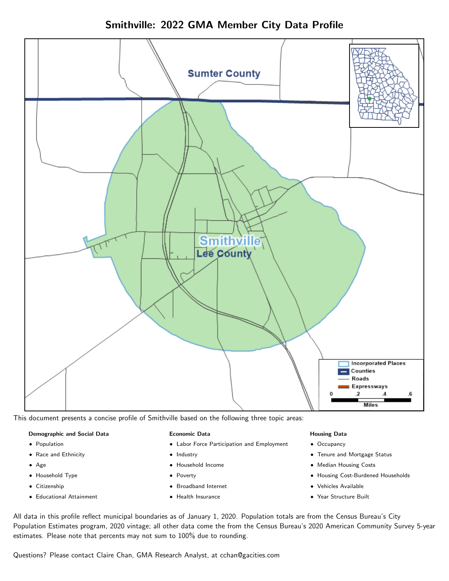Smithville: 2022 GMA Member City Data Profile



This document presents a concise profile of Smithville based on the following three topic areas:

#### Demographic and Social Data

- **•** Population
- Race and Ethnicity
- Age
- Household Type
- **Citizenship**
- Educational Attainment

#### Economic Data

- Labor Force Participation and Employment
- Industry
- Household Income
- Poverty
- Broadband Internet
- Health Insurance

#### Housing Data

- Occupancy
- Tenure and Mortgage Status
- Median Housing Costs
- Housing Cost-Burdened Households
- Vehicles Available
- Year Structure Built

All data in this profile reflect municipal boundaries as of January 1, 2020. Population totals are from the Census Bureau's City Population Estimates program, 2020 vintage; all other data come the from the Census Bureau's 2020 American Community Survey 5-year estimates. Please note that percents may not sum to 100% due to rounding.

Questions? Please contact Claire Chan, GMA Research Analyst, at [cchan@gacities.com.](mailto:cchan@gacities.com)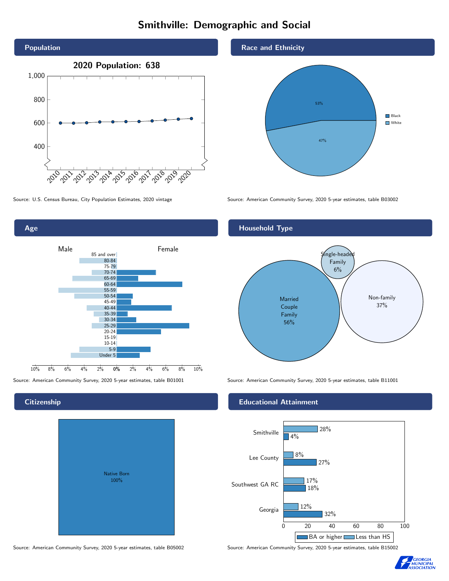# Smithville: Demographic and Social





## **Citizenship**

| Native Born<br>100% |  |
|---------------------|--|

Race and Ethnicity



Source: U.S. Census Bureau, City Population Estimates, 2020 vintage Source: American Community Survey, 2020 5-year estimates, table B03002



Source: American Community Survey, 2020 5-year estimates, table B01001 Source: American Community Survey, 2020 5-year estimates, table B11001

### Educational Attainment



Source: American Community Survey, 2020 5-year estimates, table B05002 Source: American Community Survey, 2020 5-year estimates, table B15002

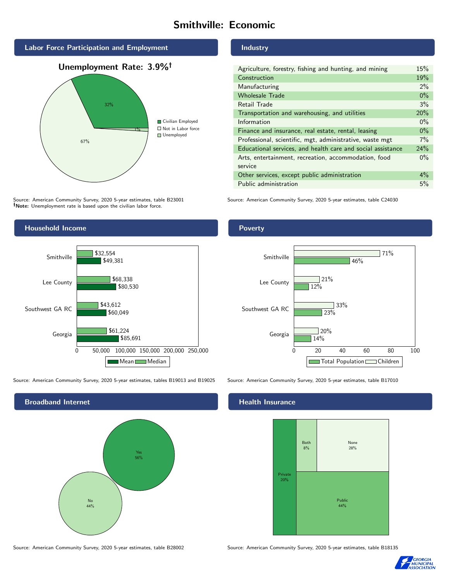# Smithville: Economic





Source: American Community Survey, 2020 5-year estimates, table B23001 Note: Unemployment rate is based upon the civilian labor force.

# Industry

| Agriculture, forestry, fishing and hunting, and mining      |       |
|-------------------------------------------------------------|-------|
| Construction                                                | 19%   |
| Manufacturing                                               | $2\%$ |
| <b>Wholesale Trade</b>                                      | $0\%$ |
| Retail Trade                                                | 3%    |
| Transportation and warehousing, and utilities               |       |
| Information                                                 | $0\%$ |
| Finance and insurance, real estate, rental, leasing         |       |
| Professional, scientific, mgt, administrative, waste mgt    |       |
| Educational services, and health care and social assistance |       |
| Arts, entertainment, recreation, accommodation, food        | $0\%$ |
| service                                                     |       |
| Other services, except public administration                |       |
| Public administration                                       |       |

Source: American Community Survey, 2020 5-year estimates, table C24030



Source: American Community Survey, 2020 5-year estimates, tables B19013 and B19025 Source: American Community Survey, 2020 5-year estimates, table B17010



Poverty



# **Health Insurance**



Source: American Community Survey, 2020 5-year estimates, table B28002 Source: American Community Survey, 2020 5-year estimates, table B18135